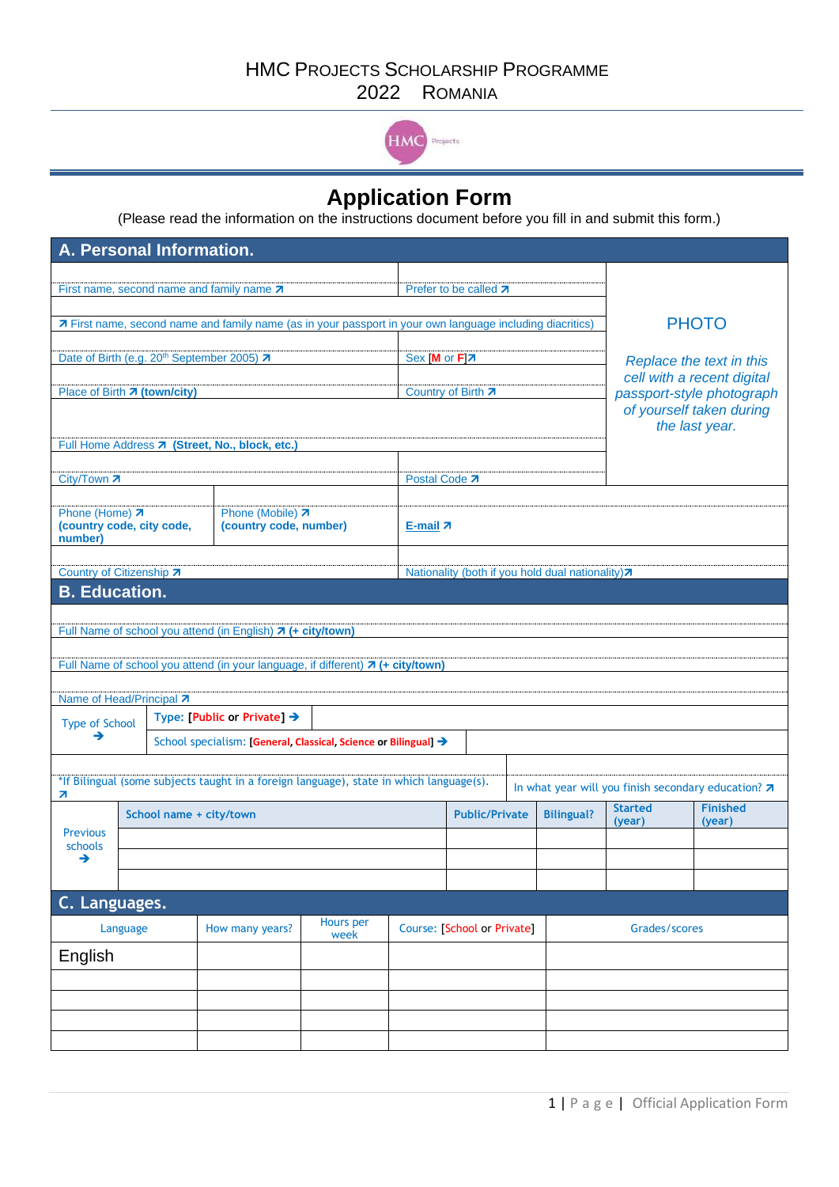

## **Application Form**

(Please read the information on the instructions document before you fill in and submit this form.)

| A. Personal Information.                                                                                                                       |                                                                 |      |                                                                                 |                             |                       |                          |               |                                                  |                |                                                         |  |
|------------------------------------------------------------------------------------------------------------------------------------------------|-----------------------------------------------------------------|------|---------------------------------------------------------------------------------|-----------------------------|-----------------------|--------------------------|---------------|--------------------------------------------------|----------------|---------------------------------------------------------|--|
|                                                                                                                                                |                                                                 |      |                                                                                 |                             |                       |                          |               |                                                  |                |                                                         |  |
| First name, second name and family name 7                                                                                                      |                                                                 |      |                                                                                 |                             | Prefer to be called 7 |                          |               |                                                  |                |                                                         |  |
| 7 First name, second name and family name (as in your passport in your own language including diacritics)                                      |                                                                 |      |                                                                                 |                             |                       |                          |               |                                                  |                | <b>PHOTO</b>                                            |  |
|                                                                                                                                                |                                                                 |      |                                                                                 |                             |                       |                          |               |                                                  |                |                                                         |  |
|                                                                                                                                                |                                                                 |      | Date of Birth (e.g. 20 <sup>th</sup> September 2005) 7                          |                             |                       | Sex [M or F]7            |               |                                                  |                | Replace the text in this                                |  |
| Place of Birth 7 (town/city)                                                                                                                   |                                                                 |      |                                                                                 |                             | Country of Birth 7    |                          |               |                                                  |                | cell with a recent digital<br>passport-style photograph |  |
|                                                                                                                                                |                                                                 |      |                                                                                 |                             |                       | of yourself taken during |               |                                                  |                |                                                         |  |
|                                                                                                                                                |                                                                 |      |                                                                                 |                             |                       |                          |               |                                                  |                | the last year.                                          |  |
|                                                                                                                                                |                                                                 |      | Full Home Address 7 (Street, No., block, etc.)                                  |                             |                       |                          |               |                                                  |                |                                                         |  |
| City/Town 7                                                                                                                                    |                                                                 |      |                                                                                 |                             | Postal Code 7         |                          |               |                                                  |                |                                                         |  |
|                                                                                                                                                |                                                                 |      |                                                                                 |                             |                       |                          |               |                                                  |                |                                                         |  |
| Phone (Home) 7<br>(country code, city code,<br>number)                                                                                         |                                                                 |      | Phone (Mobile) 7<br>(country code, number)                                      |                             | E-mail $\pi$          |                          |               |                                                  |                |                                                         |  |
|                                                                                                                                                |                                                                 |      |                                                                                 |                             |                       |                          |               |                                                  |                |                                                         |  |
| Country of Citizenship 7<br><b>B.</b> Education.                                                                                               |                                                                 |      |                                                                                 |                             |                       |                          |               | Nationality (both if you hold dual nationality)7 |                |                                                         |  |
|                                                                                                                                                |                                                                 |      |                                                                                 |                             |                       |                          |               |                                                  |                |                                                         |  |
|                                                                                                                                                |                                                                 |      | Full Name of school you attend (in English) 7 (+ city/town)                     |                             |                       |                          |               |                                                  |                |                                                         |  |
|                                                                                                                                                |                                                                 |      |                                                                                 |                             |                       |                          |               |                                                  |                |                                                         |  |
|                                                                                                                                                |                                                                 |      | Full Name of school you attend (in your language, if different) 7 (+ city/town) |                             |                       |                          |               |                                                  |                |                                                         |  |
| Name of Head/Principal 7                                                                                                                       |                                                                 |      |                                                                                 |                             |                       |                          |               |                                                  |                |                                                         |  |
| <b>Type of School</b>                                                                                                                          |                                                                 |      | Type: [Public or Private] $\rightarrow$                                         |                             |                       |                          |               |                                                  |                |                                                         |  |
| →                                                                                                                                              | School specialism: [General, Classical, Science or Bilingual] → |      |                                                                                 |                             |                       |                          |               |                                                  |                |                                                         |  |
|                                                                                                                                                |                                                                 |      |                                                                                 |                             |                       |                          |               |                                                  |                |                                                         |  |
| *If Bilingual (some subjects taught in a foreign language), state in which language(s).<br>In what year will you finish secondary education? 7 |                                                                 |      |                                                                                 |                             |                       |                          |               |                                                  |                |                                                         |  |
| 7<br>School name + city/town                                                                                                                   |                                                                 |      |                                                                                 |                             |                       | <b>Public/Private</b>    |               | <b>Bilingual?</b>                                | <b>Started</b> | <b>Finished</b>                                         |  |
| <b>Previous</b>                                                                                                                                |                                                                 |      |                                                                                 |                             |                       |                          |               | (year)                                           | (year)         |                                                         |  |
| schools<br>→                                                                                                                                   |                                                                 |      |                                                                                 |                             |                       |                          |               |                                                  |                |                                                         |  |
|                                                                                                                                                |                                                                 |      |                                                                                 |                             |                       |                          |               |                                                  |                |                                                         |  |
| C. Languages.                                                                                                                                  |                                                                 |      |                                                                                 |                             |                       |                          |               |                                                  |                |                                                         |  |
| Hours per<br>How many years?<br>Language                                                                                                       |                                                                 |      |                                                                                 | Course: [School or Private] |                       |                          | Grades/scores |                                                  |                |                                                         |  |
| English                                                                                                                                        |                                                                 | week |                                                                                 |                             |                       |                          |               |                                                  |                |                                                         |  |
|                                                                                                                                                |                                                                 |      |                                                                                 |                             |                       |                          |               |                                                  |                |                                                         |  |
|                                                                                                                                                |                                                                 |      |                                                                                 |                             |                       |                          |               |                                                  |                |                                                         |  |
|                                                                                                                                                |                                                                 |      |                                                                                 |                             |                       |                          |               |                                                  |                |                                                         |  |
|                                                                                                                                                |                                                                 |      |                                                                                 |                             |                       |                          |               |                                                  |                |                                                         |  |
|                                                                                                                                                |                                                                 |      |                                                                                 |                             |                       |                          |               |                                                  |                |                                                         |  |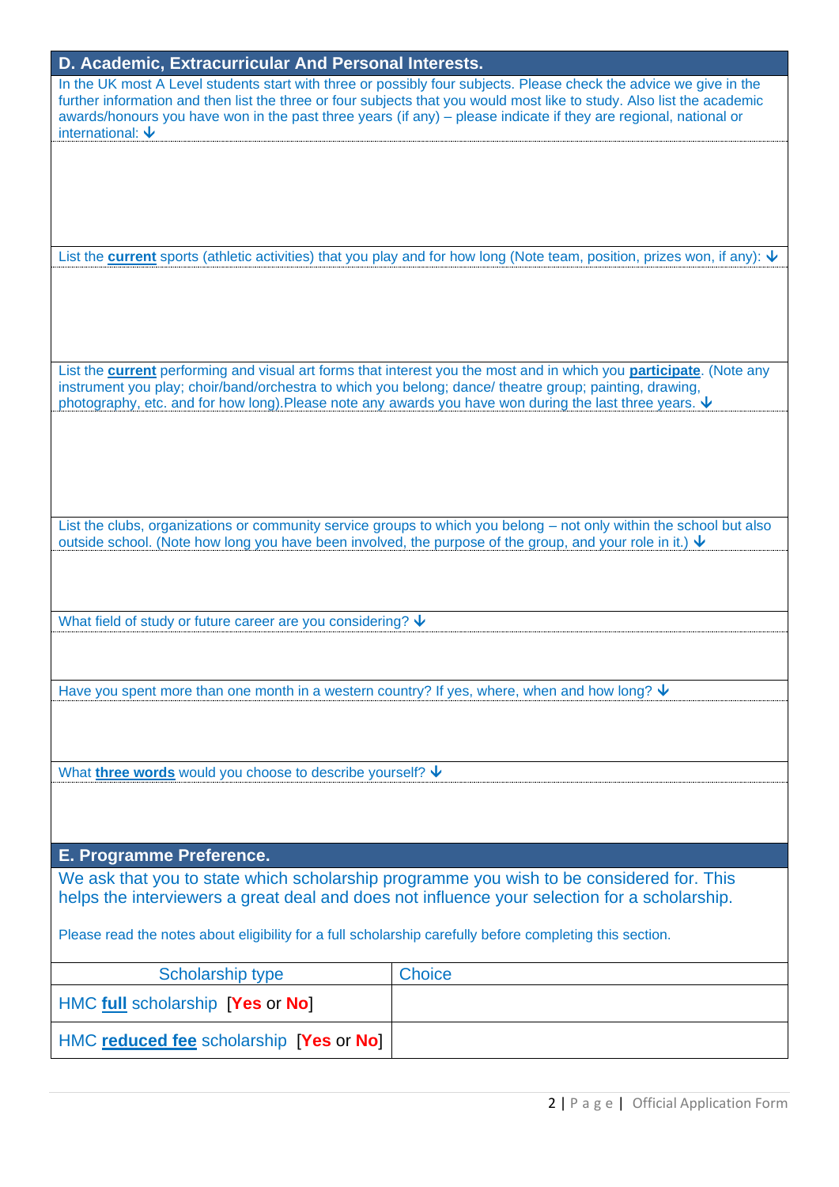| D. Academic, Extracurricular And Personal Interests.                                                                                                                                                                    |                                                                                                                                                                                                                                                                                                                                                                  |  |  |  |
|-------------------------------------------------------------------------------------------------------------------------------------------------------------------------------------------------------------------------|------------------------------------------------------------------------------------------------------------------------------------------------------------------------------------------------------------------------------------------------------------------------------------------------------------------------------------------------------------------|--|--|--|
| international: $\bm{\downarrow}$                                                                                                                                                                                        | In the UK most A Level students start with three or possibly four subjects. Please check the advice we give in the<br>further information and then list the three or four subjects that you would most like to study. Also list the academic<br>awards/honours you have won in the past three years (if any) – please indicate if they are regional, national or |  |  |  |
|                                                                                                                                                                                                                         |                                                                                                                                                                                                                                                                                                                                                                  |  |  |  |
|                                                                                                                                                                                                                         | List the <b>current</b> sports (athletic activities) that you play and for how long (Note team, position, prizes won, if any): $\psi$                                                                                                                                                                                                                            |  |  |  |
|                                                                                                                                                                                                                         |                                                                                                                                                                                                                                                                                                                                                                  |  |  |  |
| instrument you play; choir/band/orchestra to which you belong; dance/ theatre group; painting, drawing,<br>photography, etc. and for how long). Please note any awards you have won during the last three years. $\vee$ | List the current performing and visual art forms that interest you the most and in which you participate. (Note any                                                                                                                                                                                                                                              |  |  |  |
|                                                                                                                                                                                                                         |                                                                                                                                                                                                                                                                                                                                                                  |  |  |  |
| outside school. (Note how long you have been involved, the purpose of the group, and your role in it.) $\vee$                                                                                                           | List the clubs, organizations or community service groups to which you belong - not only within the school but also                                                                                                                                                                                                                                              |  |  |  |
| What field of study or future career are you considering? $\bm{\downarrow}$                                                                                                                                             |                                                                                                                                                                                                                                                                                                                                                                  |  |  |  |
|                                                                                                                                                                                                                         |                                                                                                                                                                                                                                                                                                                                                                  |  |  |  |
| Have you spent more than one month in a western country? If yes, where, when and how long? $\vee$                                                                                                                       |                                                                                                                                                                                                                                                                                                                                                                  |  |  |  |
| What <b>three words</b> would you choose to describe yourself? $\vee$                                                                                                                                                   |                                                                                                                                                                                                                                                                                                                                                                  |  |  |  |
|                                                                                                                                                                                                                         |                                                                                                                                                                                                                                                                                                                                                                  |  |  |  |
| E. Programme Preference.                                                                                                                                                                                                |                                                                                                                                                                                                                                                                                                                                                                  |  |  |  |
| We ask that you to state which scholarship programme you wish to be considered for. This<br>helps the interviewers a great deal and does not influence your selection for a scholarship.                                |                                                                                                                                                                                                                                                                                                                                                                  |  |  |  |
| Please read the notes about eligibility for a full scholarship carefully before completing this section.                                                                                                                |                                                                                                                                                                                                                                                                                                                                                                  |  |  |  |
| Scholarship type                                                                                                                                                                                                        | <b>Choice</b>                                                                                                                                                                                                                                                                                                                                                    |  |  |  |
| HMC full scholarship [Yes or No]                                                                                                                                                                                        |                                                                                                                                                                                                                                                                                                                                                                  |  |  |  |
| HMC reduced fee scholarship [Yes or No]                                                                                                                                                                                 |                                                                                                                                                                                                                                                                                                                                                                  |  |  |  |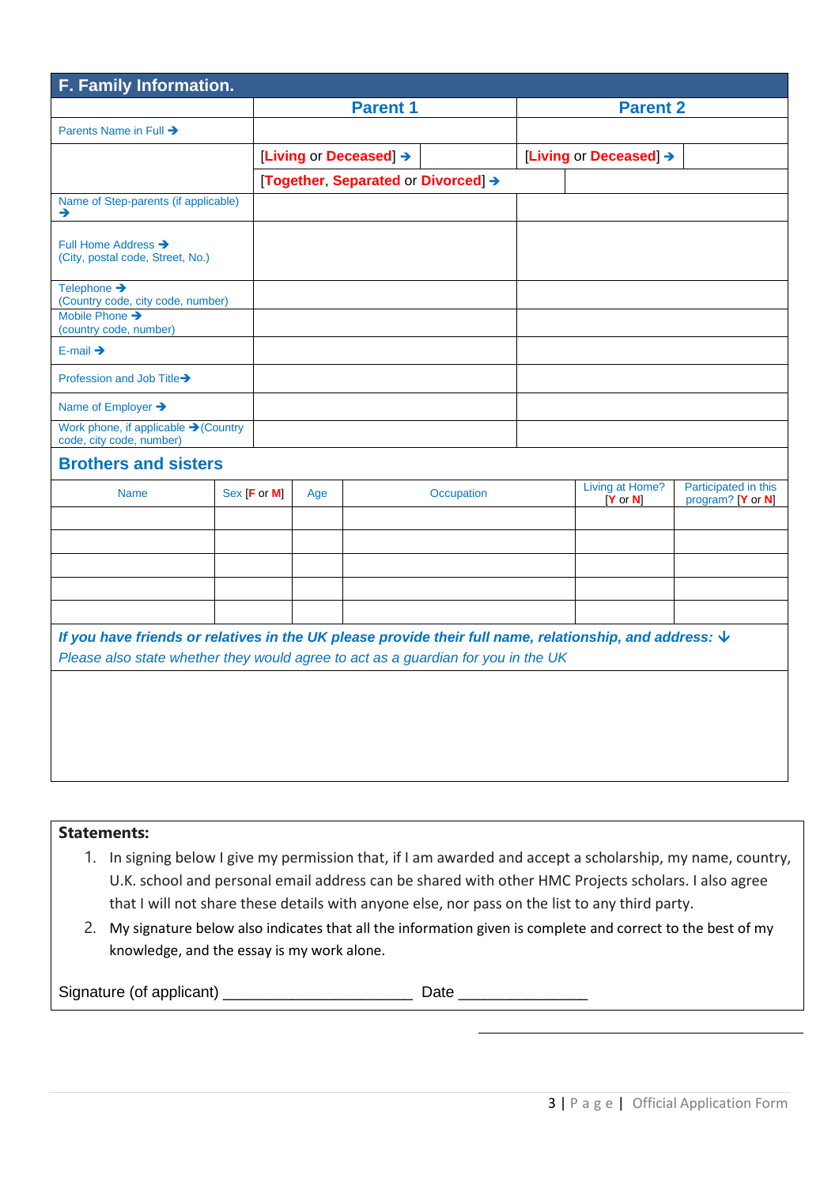| F. Family Information.                                                                                                                                                                                       |  |                        |     |  |                                     |  |                                        |                                           |
|--------------------------------------------------------------------------------------------------------------------------------------------------------------------------------------------------------------|--|------------------------|-----|--|-------------------------------------|--|----------------------------------------|-------------------------------------------|
|                                                                                                                                                                                                              |  | <b>Parent 1</b>        |     |  | <b>Parent 2</b>                     |  |                                        |                                           |
| Parents Name in Full →                                                                                                                                                                                       |  |                        |     |  |                                     |  |                                        |                                           |
|                                                                                                                                                                                                              |  | [Living or Deceased] → |     |  | [Living or Deceased] →              |  |                                        |                                           |
|                                                                                                                                                                                                              |  |                        |     |  | [Together, Separated or Divorced] → |  |                                        |                                           |
| Name of Step-parents (if applicable)<br>→                                                                                                                                                                    |  |                        |     |  |                                     |  |                                        |                                           |
| Full Home Address →<br>(City, postal code, Street, No.)                                                                                                                                                      |  |                        |     |  |                                     |  |                                        |                                           |
| Telephone →<br>(Country code, city code, number)                                                                                                                                                             |  |                        |     |  |                                     |  |                                        |                                           |
| Mobile Phone →<br>(country code, number)                                                                                                                                                                     |  |                        |     |  |                                     |  |                                        |                                           |
| E-mail $\rightarrow$                                                                                                                                                                                         |  |                        |     |  |                                     |  |                                        |                                           |
| Profession and Job Title→                                                                                                                                                                                    |  |                        |     |  |                                     |  |                                        |                                           |
| Name of Employer →                                                                                                                                                                                           |  |                        |     |  |                                     |  |                                        |                                           |
| Work phone, if applicable → (Country<br>code, city code, number)                                                                                                                                             |  |                        |     |  |                                     |  |                                        |                                           |
| <b>Brothers and sisters</b>                                                                                                                                                                                  |  |                        |     |  |                                     |  |                                        |                                           |
| <b>Name</b>                                                                                                                                                                                                  |  | Sex [F or M]           | Age |  | Occupation                          |  | Living at Home?<br>$ Y \text{ or } N $ | Participated in this<br>program? [Y or N] |
|                                                                                                                                                                                                              |  |                        |     |  |                                     |  |                                        |                                           |
|                                                                                                                                                                                                              |  |                        |     |  |                                     |  |                                        |                                           |
|                                                                                                                                                                                                              |  |                        |     |  |                                     |  |                                        |                                           |
|                                                                                                                                                                                                              |  |                        |     |  |                                     |  |                                        |                                           |
|                                                                                                                                                                                                              |  |                        |     |  |                                     |  |                                        |                                           |
| If you have friends or relatives in the UK please provide their full name, relationship, and address: $\bm{\downarrow}$<br>Please also state whether they would agree to act as a guardian for you in the UK |  |                        |     |  |                                     |  |                                        |                                           |
|                                                                                                                                                                                                              |  |                        |     |  |                                     |  |                                        |                                           |
|                                                                                                                                                                                                              |  |                        |     |  |                                     |  |                                        |                                           |
|                                                                                                                                                                                                              |  |                        |     |  |                                     |  |                                        |                                           |
|                                                                                                                                                                                                              |  |                        |     |  |                                     |  |                                        |                                           |
|                                                                                                                                                                                                              |  |                        |     |  |                                     |  |                                        |                                           |

### **Statements:**

- 1. In signing below I give my permission that, if I am awarded and accept a scholarship, my name, country, U.K. school and personal email address can be shared with other HMC Projects scholars. I also agree that I will not share these details with anyone else, nor pass on the list to any third party.
- 2. My signature below also indicates that all the information given is complete and correct to the best of my knowledge, and the essay is my work alone.

| Signature (of applicant) |  |
|--------------------------|--|
|                          |  |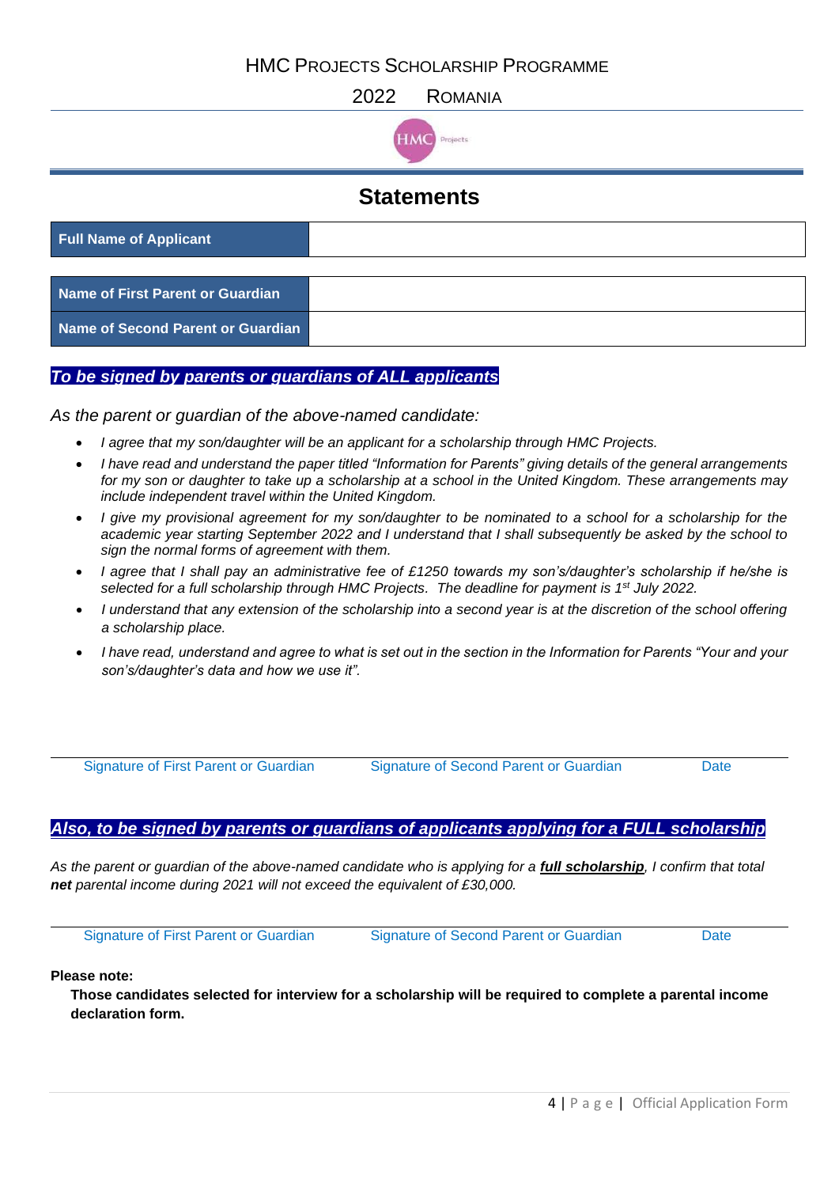HMC PROJECTS SCHOLARSHIP PROGRAMME

2022 ROMANIA



## **Statements**

| <b>Full Name of Applicant</b>     |  |
|-----------------------------------|--|
|                                   |  |
| Name of First Parent or Guardian  |  |
| Name of Second Parent or Guardian |  |

#### *To be signed by parents or guardians of ALL applicants*

*As the parent or guardian of the above-named candidate:*

- *I agree that my son/daughter will be an applicant for a scholarship through HMC Projects.*
- *I have read and understand the paper titled "Information for Parents" giving details of the general arrangements for my son or daughter to take up a scholarship at a school in the United Kingdom. These arrangements may include independent travel within the United Kingdom.*
- *I give my provisional agreement for my son/daughter to be nominated to a school for a scholarship for the academic year starting September 2022 and I understand that I shall subsequently be asked by the school to sign the normal forms of agreement with them.*
- *I agree that I shall pay an administrative fee of £1250 towards my son's/daughter's scholarship if he/she is selected for a full scholarship through HMC Projects. The deadline for payment is 1st July 2022.*
- *I understand that any extension of the scholarship into a second year is at the discretion of the school offering a scholarship place.*
- *I have read, understand and agree to what is set out in the section in the Information for Parents "Your and your son's/daughter's data and how we use it".*

Signature of First Parent or Guardian Signature of Second Parent or Guardian Date

#### *Also, to be signed by parents or guardians of applicants applying for a FULL scholarship*

*As the parent or guardian of the above-named candidate who is applying for a full scholarship, I confirm that total net parental income during 2021 will not exceed the equivalent of £30,000.*

Signature of First Parent or Guardian Signature of Second Parent or Guardian Date

#### **Please note:**

**Those candidates selected for interview for a scholarship will be required to complete a parental income declaration form.**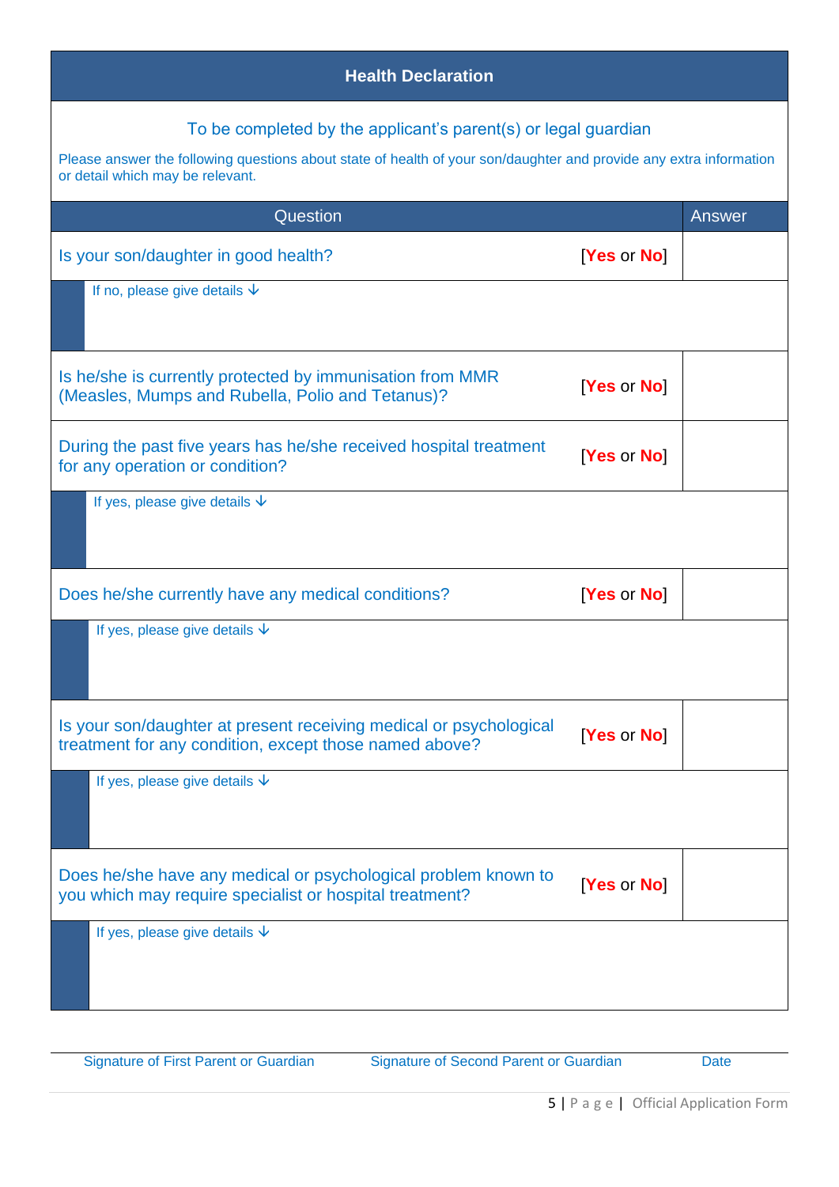| <b>Health Declaration</b>                                                                                                                                                                                                |             |        |  |  |
|--------------------------------------------------------------------------------------------------------------------------------------------------------------------------------------------------------------------------|-------------|--------|--|--|
| To be completed by the applicant's parent(s) or legal guardian<br>Please answer the following questions about state of health of your son/daughter and provide any extra information<br>or detail which may be relevant. |             |        |  |  |
| Question                                                                                                                                                                                                                 |             | Answer |  |  |
| Is your son/daughter in good health?                                                                                                                                                                                     | [Yes or No] |        |  |  |
| If no, please give details $\sqrt{\ }$                                                                                                                                                                                   |             |        |  |  |
| Is he/she is currently protected by immunisation from MMR<br>(Measles, Mumps and Rubella, Polio and Tetanus)?                                                                                                            | [Yes or No] |        |  |  |
| During the past five years has he/she received hospital treatment<br>for any operation or condition?                                                                                                                     | [Yes or No] |        |  |  |
| If yes, please give details $\psi$                                                                                                                                                                                       |             |        |  |  |
| Does he/she currently have any medical conditions?                                                                                                                                                                       | [Yes or No] |        |  |  |
| If yes, please give details $\psi$                                                                                                                                                                                       |             |        |  |  |
| Is your son/daughter at present receiving medical or psychological<br>treatment for any condition, except those named above?                                                                                             | [Yes or No] |        |  |  |
| If yes, please give details $\psi$                                                                                                                                                                                       |             |        |  |  |
| Does he/she have any medical or psychological problem known to<br>you which may require specialist or hospital treatment?                                                                                                | [Yes or No] |        |  |  |
| If yes, please give details $\psi$                                                                                                                                                                                       |             |        |  |  |

Signature of First Parent or Guardian Signature of Second Parent or Guardian Date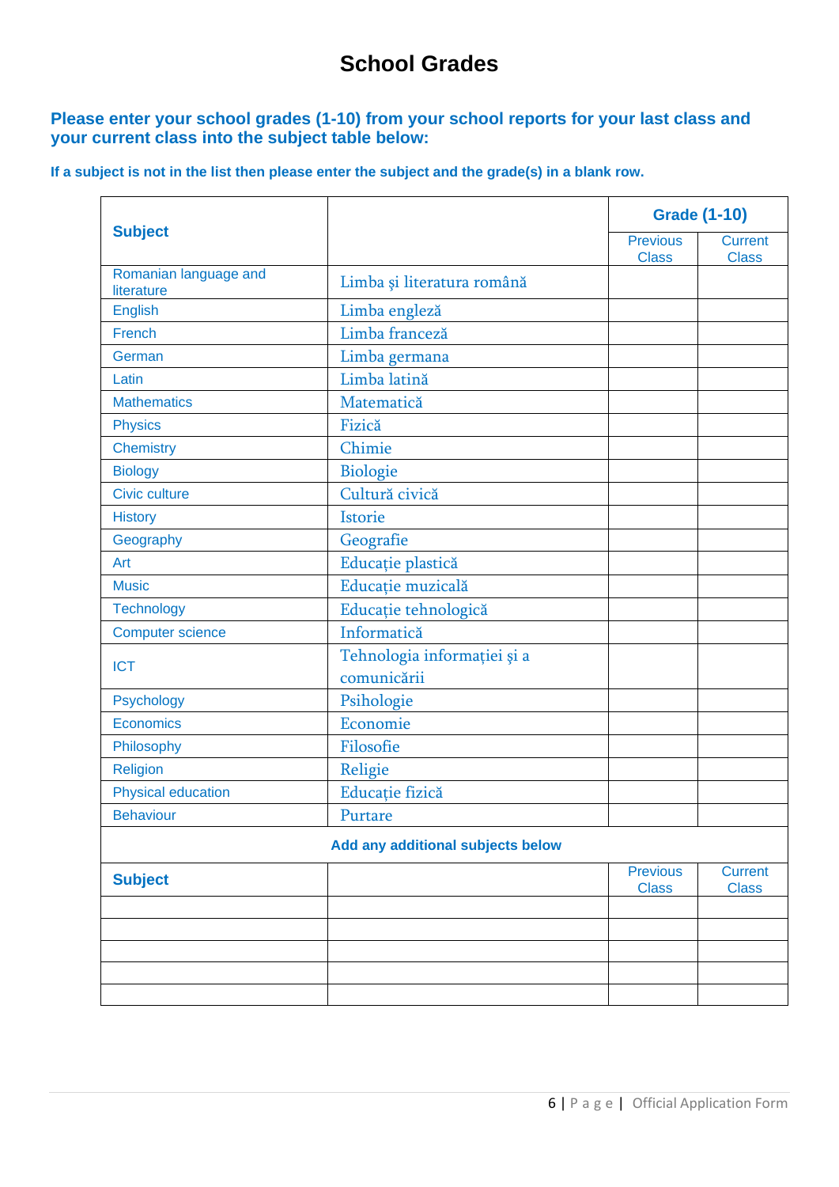# **School Grades**

### **Please enter your school grades (1-10) from your school reports for your last class and your current class into the subject table below:**

**If a subject is not in the list then please enter the subject and the grade(s) in a blank row.**

|                                     |                                            | <b>Grade (1-10)</b>             |                                |
|-------------------------------------|--------------------------------------------|---------------------------------|--------------------------------|
| <b>Subject</b>                      |                                            | <b>Previous</b><br><b>Class</b> | <b>Current</b><br><b>Class</b> |
| Romanian language and<br>literature | Limba și literatura română                 |                                 |                                |
| <b>English</b>                      | Limba engleză                              |                                 |                                |
| French                              | Limba franceză                             |                                 |                                |
| German                              | Limba germana                              |                                 |                                |
| Latin                               | Limba latină                               |                                 |                                |
| <b>Mathematics</b>                  | Matematică                                 |                                 |                                |
| <b>Physics</b>                      | Fizică                                     |                                 |                                |
| <b>Chemistry</b>                    | Chimie                                     |                                 |                                |
| <b>Biology</b>                      | Biologie                                   |                                 |                                |
| <b>Civic culture</b>                | Cultură civică                             |                                 |                                |
| <b>History</b>                      | Istorie                                    |                                 |                                |
| Geography                           | Geografie                                  |                                 |                                |
| Art                                 | Educație plastică                          |                                 |                                |
| <b>Music</b>                        | Educație muzicală                          |                                 |                                |
| <b>Technology</b>                   | Educație tehnologică                       |                                 |                                |
| <b>Computer science</b>             | Informatică                                |                                 |                                |
| <b>ICT</b>                          | Tehnologia informației și a<br>comunicării |                                 |                                |
| Psychology                          | Psihologie                                 |                                 |                                |
| Economics                           | Economie                                   |                                 |                                |
| Philosophy                          | Filosofie                                  |                                 |                                |
| Religion                            | Religie                                    |                                 |                                |
| <b>Physical education</b>           | Educație fizică                            |                                 |                                |
| <b>Behaviour</b>                    | Purtare                                    |                                 |                                |
|                                     | Add any additional subjects below          |                                 |                                |
| <b>Subject</b>                      |                                            | <b>Previous</b><br><b>Class</b> | <b>Current</b><br><b>Class</b> |
|                                     |                                            |                                 |                                |
|                                     |                                            |                                 |                                |
|                                     |                                            |                                 |                                |
|                                     |                                            |                                 |                                |